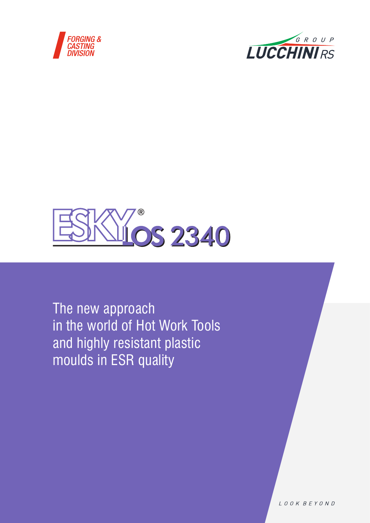





The new approach in the world of Hot Work Tools and highly resistant plastic moulds in ESR quality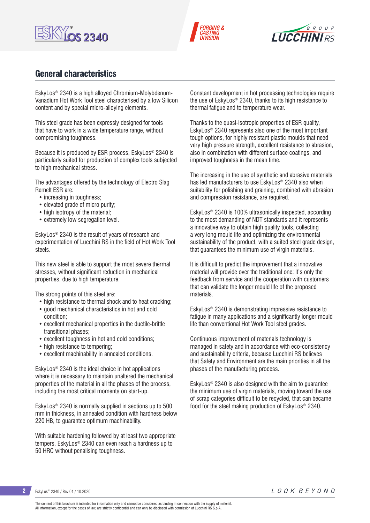





### General characteristics

EskyLos® 2340 is a high alloyed Chromium-Molybdenum-Vanadium Hot Work Tool steel characterised by a low Silicon content and by special micro-alloying elements.

This steel grade has been expressly designed for tools that have to work in a wide temperature range, without compromising toughness.

Because it is produced by ESR process, EskyLos® 2340 is particularly suited for production of complex tools subjected to high mechanical stress.

The advantages offered by the technology of Electro Slag Remelt ESR are:

- increasing in toughness;
- elevated grade of micro purity;
- high isotropy of the material;
- extremely low segregation level.

EskyLos® 2340 is the result of years of research and experimentation of Lucchini RS in the field of Hot Work Tool steels.

This new steel is able to support the most severe thermal stresses, without significant reduction in mechanical properties, due to high temperature.

The strong points of this steel are:

- high resistance to thermal shock and to heat cracking;
- good mechanical characteristics in hot and cold condition;
- excellent mechanical properties in the ductile-brittle transitional phases;
- excellent toughness in hot and cold conditions;
- high resistance to tempering;
- excellent machinability in annealed conditions.

EskyLos® 2340 is the ideal choice in hot applications where it is necessary to maintain unaltered the mechanical properties of the material in all the phases of the process, including the most critical moments on start-up.

EskyLos® 2340 is normally supplied in sections up to 500 mm in thickness, in annealed condition with hardness below 220 HB, to guarantee optimum machinability.

With suitable hardening followed by at least two appropriate tempers, EskyLos® 2340 can even reach a hardness up to 50 HRC without penalising toughness.

Constant development in hot processing technologies require the use of EskyLos® 2340, thanks to its high resistance to thermal fatigue and to temperature wear.

Thanks to the quasi-isotropic properties of ESR quality, EskyLos® 2340 represents also one of the most important tough options, for highly resistant plastic moulds that need very high pressure strength, excellent resistance to abrasion, also in combination with different surface coatings, and improved toughness in the mean time.

The increasing in the use of synthetic and abrasive materials has led manufacturers to use EskyLos® 2340 also when suitability for polishing and graining, combined with abrasion and compression resistance, are required.

EskyLos® 2340 is 100% ultrasonically inspected, according to the most demanding of NDT standards and it represents a innovative way to obtain high quality tools, collecting a very long mould life and optimizing the environmental sustainability of the product, with a suited steel grade design, that guarantees the minimum use of virgin materials.

It is difficult to predict the improvement that a innovative material will provide over the traditional one: it's only the feedback from service and the cooperation with customers that can validate the longer mould life of the proposed materials.

EskyLos® 2340 is demonstrating impressive resistance to fatigue in many applications and a significantly longer mould life than conventional Hot Work Tool steel grades.

Continuous improvement of materials technology is managed in safety and in accordance with eco-consistency and sustainability criteria, because Lucchini RS believes that Safety and Environment are the main priorities in all the phases of the manufacturing process.

EskyLos® 2340 is also designed with the aim to guarantee the minimum use of virgin materials, moving toward the use of scrap categories difficult to be recycled, that can became food for the steel making production of EskyLos® 2340.

**2** EskyLos® 2340 / Rev.01 / 10.2020

The content of this brochure is intended for information only and cannot be considered as binding in connection with the supply of material. All information, except for the cases of law, are strictly confidential and can only be disclosed with permission of Lucchini RS S.p.A.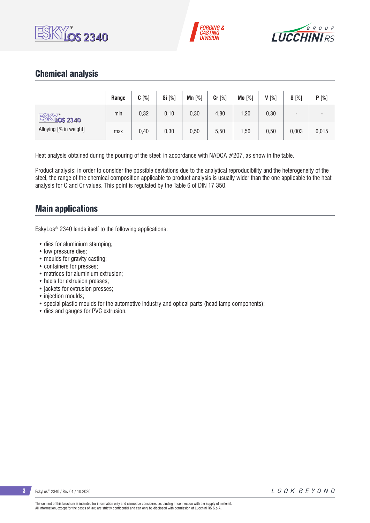





### Chemical analysis

|                         | Range | $C[\%]$ | Si [%] | Mn $[%]$ | $Cr$ [%] | Mo [%] | $V[\%]$ | $S[\%]$                  | P[%]  |
|-------------------------|-------|---------|--------|----------|----------|--------|---------|--------------------------|-------|
| ESK<br><u>Níos 2340</u> | min   | 0,32    | 0, 10  | 0,30     | 4,80     | ,20    | 0,30    | $\overline{\phantom{0}}$ |       |
| Alloying [% in weight]  | max   | 0,40    | 0,30   | 0,50     | 5,50     | ,50    | 0,50    | 0,003                    | 0,015 |

Heat analysis obtained during the pouring of the steel: in accordance with NADCA #207, as show in the table.

Product analysis: in order to consider the possible deviations due to the analytical reproducibility and the heterogeneity of the steel, the range of the chemical composition applicable to product analysis is usually wider than the one applicable to the heat analysis for C and Cr values. This point is regulated by the Table 6 of DIN 17 350.

### Main applications

EskyLos® 2340 lends itself to the following applications:

- dies for aluminium stamping;
- low pressure dies;
- moulds for gravity casting;
- containers for presses;
- matrices for aluminium extrusion;
- heels for extrusion presses;
- jackets for extrusion presses;
- injection moulds:
- special plastic moulds for the automotive industry and optical parts (head lamp components);
- dies and gauges for PVC extrusion.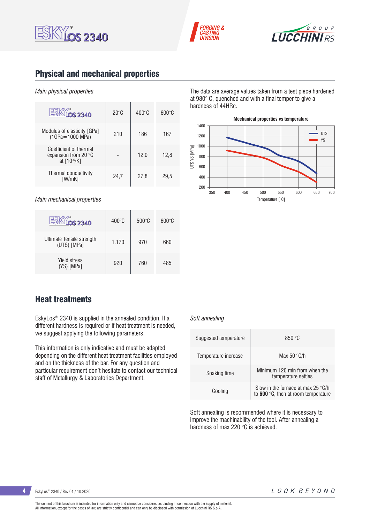





# Physical and mechanical properties

#### *Main physical properties*

| OS 2340                                                       | $20^{\circ}$ C | $400^{\circ}$ C | $600\degree$ C |
|---------------------------------------------------------------|----------------|-----------------|----------------|
| Modulus of elasticity [GPa]<br>$(1GPa = 1000 MPa)$            | 210            | 186             | 167            |
| Coefficient of thermal<br>expansion from 20 °C<br>at [10-6/K] |                | 12,0            | 12,8           |
| Thermal conductivity<br>[W/mK]                                | 24,7           | 27,8            | 29,5           |

*Main mechanical properties*

| <b>OS 2340</b>                           | $400^{\circ}$ C | $500^{\circ}$ C | $600\degree C$ |
|------------------------------------------|-----------------|-----------------|----------------|
| Ultimate Tensile strength<br>(UTS) [MPa] | 1.170           | 970             | 660            |
| <b>Yield stress</b><br>(YS) [MPa]        | 920             | 760             | 485            |

The data are average values taken from a test piece hardened at 980° C, quenched and with a final temper to give a hardness of 44HRc.



### Heat treatments

EskyLos® 2340 is supplied in the annealed condition. If a different hardness is required or if heat treatment is needed, we suggest applying the following parameters.

This information is only indicative and must be adapted depending on the different heat treatment facilities employed and on the thickness of the bar. For any question and particular requirement don't hesitate to contact our technical staff of Metallurgy & Laboratories Department.

#### *Soft annealing*

| Suggested temperature | 850 °C                                                                                |
|-----------------------|---------------------------------------------------------------------------------------|
| Temperature increase  | Max 50 $\degree$ C/h                                                                  |
| Soaking time          | Minimum 120 min from when the<br>temperature settles                                  |
| Cooling               | Slow in the furnace at max 25 $\degree$ C/h<br>to $600 °C$ , then at room temperature |

Soft annealing is recommended where it is necessary to improve the machinability of the tool. After annealing a hardness of max 220 °C is achieved.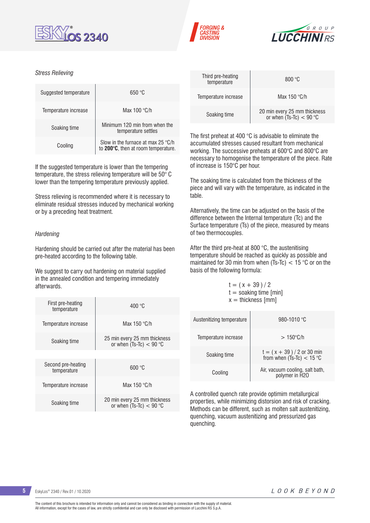





#### *Stress Relieving*

| Suggested temperature | 650 °C                                                                             |
|-----------------------|------------------------------------------------------------------------------------|
| Temperature increase  | Max $100 °C/h$                                                                     |
| Soaking time          | Minimum 120 min from when the<br>temperature settles                               |
| Cooling               | Slow in the furnace at max 25 $\degree$ C/h<br>to 200°C, then at room temperature. |

If the suggested temperature is lower than the tempering temperature, the stress relieving temperature will be 50° C lower than the tempering temperature previously applied.

Stress relieving is recommended where it is necessary to eliminate residual stresses induced by mechanical working or by a preceding heat treatment.

#### *Hardening*

Hardening should be carried out after the material has been pre-heated according to the following table.

We suggest to carry out hardening on material supplied in the annealed condition and tempering immediately afterwards.

| First pre-heating<br>temperature  | 400 °C                                                    |  |  |  |  |  |
|-----------------------------------|-----------------------------------------------------------|--|--|--|--|--|
| Temperature increase              | Max $150 °C/h$                                            |  |  |  |  |  |
| Soaking time                      | 25 min every 25 mm thickness<br>or when $(Ts-TC) < 90$ °C |  |  |  |  |  |
|                                   |                                                           |  |  |  |  |  |
| Second pre-heating<br>temperature | 600 °C                                                    |  |  |  |  |  |
| Temperature increase              | Max $150 °C/h$                                            |  |  |  |  |  |
| Soaking time                      | 20 min every 25 mm thickness<br>or when $(Ts-TC) < 90$ °C |  |  |  |  |  |

| Third pre-heating<br>temperature | 800 °C                                                    |
|----------------------------------|-----------------------------------------------------------|
| Temperature increase             | Max $150 °C/h$                                            |
| Soaking time                     | 20 min every 25 mm thickness<br>or when $(Ts-Tc) < 90$ °C |

The first preheat at 400 °C is advisable to eliminate the accumulated stresses caused resultant from mechanical working. The successive preheats at 600°C and 800°C are necessary to homogenise the temperature of the piece. Rate of increase is 150°C per hour.

The soaking time is calculated from the thickness of the piece and will vary with the temperature, as indicated in the table.

Alternatively, the time can be adjusted on the basis of the difference between the Internal temperature (Tc) and the Surface temperature (Ts) of the piece, measured by means of two thermocouples.

After the third pre-heat at 800 °C, the austenitising temperature should be reached as quickly as possible and maintained for 30 min from when (Ts-Tc) < 15 °C or on the basis of the following formula:

 $t = (x + 39)/2$  $t =$  soaking time [min]  $x =$  thickness [mm]

| Austenitizing temperature | 980-1010 °C                                               |
|---------------------------|-----------------------------------------------------------|
| Temperature increase      | $>150^{\circ}$ C/h                                        |
| Soaking time              | $t = (x + 39) / 2$ or 30 min<br>from when (Ts-Tc) < 15 °C |
| Cooling                   | Air, vacuum cooling, salt bath,<br>polymer in H2O         |

A controlled quench rate provide optimim metallurgical properties, while minimizing distorsion and risk of cracking. Methods can be different, such as molten salt austenitizing, quenching, vacuum austenitizing and pressurized gas quenching.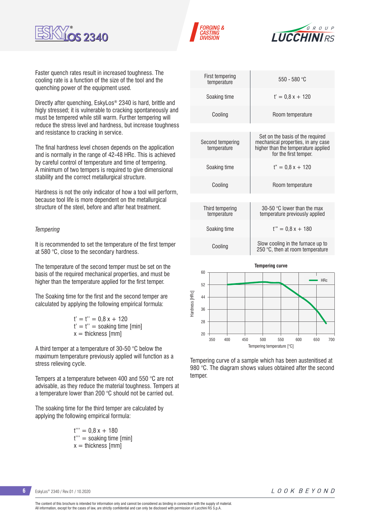





Faster quench rates result in increased toughness. The cooling rate is a function of the size of the tool and the quenching power of the equipment used.

Directly after quenching, EskyLos® 2340 is hard, brittle and higly stressed; it is vulnerable to cracking spontaneously and must be tempered while still warm. Further tempering will reduce the stress level and hardness, but increase toughness and resistance to cracking in service.

The final hardness level chosen depends on the application and is normally in the range of 42-48 HRc. This is achieved by careful control of temperature and time of tempering. A minimum of two tempers is required to give dimensional stability and the correct metallurgical structure.

Hardness is not the only indicator of how a tool will perform, because tool life is more dependent on the metallurgical structure of the steel, before and after heat treatment.

#### *Tempering*

It is recommended to set the temperature of the first temper at 580 °C, close to the secondary hardness.

The temperature of the second temper must be set on the basis of the required mechanical properties, and must be higher than the temperature applied for the first temper.

The Soaking time for the first and the second temper are calculated by applying the following empirical formula:

> $t' = t'' = 0.8x + 120$  $t' = t'' =$  soaking time [min]  $x =$  thickness [mm]

A third temper at a temperature of 30-50 °C below the maximum temperature previously applied will function as a stress relieving cycle.

Tempers at a temperature between 400 and 550 °C are not advisable, as they reduce the material toughness. Tempers at a temperature lower than 200 °C should not be carried out.

The soaking time for the third temper are calculated by applying the following empirical formula:

> $t''' = 0.8 x + 180$ t''' = soaking time [min]  $x =$  thickness [mm]

| First tempering<br>temperature  | $550 - 580$ °C                                                                                                                         |
|---------------------------------|----------------------------------------------------------------------------------------------------------------------------------------|
| Soaking time                    | $t' = 0.8x + 120$                                                                                                                      |
| Cooling                         | Room temperature                                                                                                                       |
|                                 |                                                                                                                                        |
| Second tempering<br>temperature | Set on the basis of the required<br>mechanical properties, in any case<br>higher than the temperature applied<br>for the first temper. |
| Soaking time                    | $t'' = 0.8x + 120$                                                                                                                     |
| Cooling                         | Room temperature                                                                                                                       |
|                                 |                                                                                                                                        |
| Third tempering<br>temperature  | 30-50 °C lower than the max<br>temperature previously applied                                                                          |
| Soaking time                    | $t'' = 0.8x + 180$                                                                                                                     |
| Cooling                         | Slow cooling in the furnace up to<br>250 °C, then at room temperature                                                                  |
|                                 |                                                                                                                                        |



Tempering curve of a sample which has been austenitised at 980 °C. The diagram shows values obtained after the second temper.

**6** EskyLos® 2340 / Rev.01 / 10.2020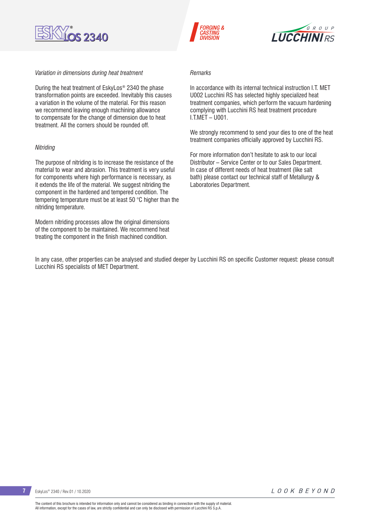

#### *Variation in dimensions during heat treatment*

During the heat treatment of EskyLos® 2340 the phase transformation points are exceeded. Inevitably this causes a variation in the volume of the material. For this reason we recommend leaving enough machining allowance to compensate for the change of dimension due to heat treatment. All the corners should be rounded off.

#### *Nitriding*

The purpose of nitriding is to increase the resistance of the material to wear and abrasion. This treatment is very useful for components where high performance is necessary, as it extends the life of the material. We suggest nitriding the component in the hardened and tempered condition. The tempering temperature must be at least 50 °C higher than the nitriding temperature.

Modern nitriding processes allow the original dimensions of the component to be maintained. We recommend heat treating the component in the finish machined condition.





#### *Remarks*

In accordance with its internal technical instruction LT. MET U002 Lucchini RS has selected highly specialized heat treatment companies, which perform the vacuum hardening complying with Lucchini RS heat treatment procedure I.T.MET – U001.

We strongly recommend to send your dies to one of the heat treatment companies officially approved by Lucchini RS.

For more information don't hesitate to ask to our local Distributor – Service Center or to our Sales Department. In case of different needs of heat treatment (like salt bath) please contact our technical staff of Metallurgy & Laboratories Department.

In any case, other properties can be analysed and studied deeper by Lucchini RS on specific Customer request: please consult Lucchini RS specialists of MET Department.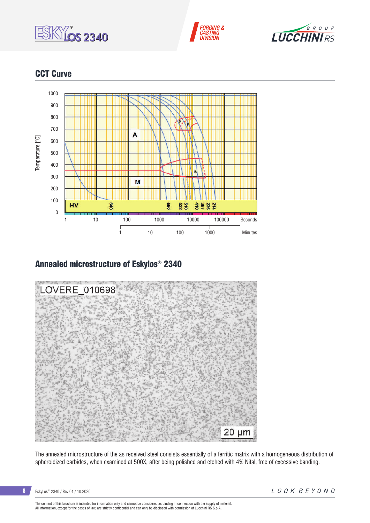





# CCT Curve



### Annealed microstructure of Eskylos® 2340



The annealed microstructure of the as received steel consists essentially of a ferritic matrix with a homogeneous distribution of spheroidized carbides, when examined at 500X, after being polished and etched with 4% Nital, free of excessive banding.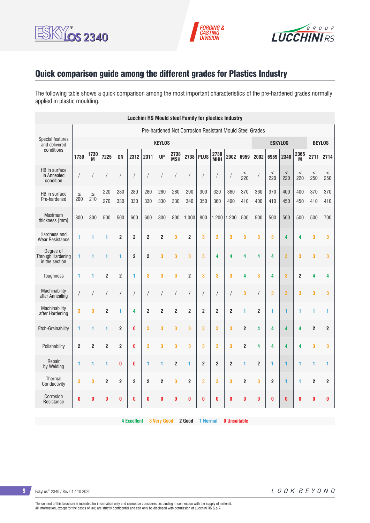





# Quick comparison guide among the different grades for Plastics Industry

The following table shows a quick comparison among the most important characteristics of the pre-hardened grades normally applied in plastic moulding.

| <b>Lucchini RS Mould steel Family for plastics Industry</b> |                                                         |                      |                |                |                         |                |                |                    |                |                |                    |                |                  |                |                |                |                |                |                |
|-------------------------------------------------------------|---------------------------------------------------------|----------------------|----------------|----------------|-------------------------|----------------|----------------|--------------------|----------------|----------------|--------------------|----------------|------------------|----------------|----------------|----------------|----------------|----------------|----------------|
|                                                             | Pre-hardened Not Corrosion Resistant Mould Steel Grades |                      |                |                |                         |                |                |                    |                |                |                    |                |                  |                |                |                |                |                |                |
| Special features<br>and delivered                           |                                                         | <b>KEYLOS</b>        |                |                |                         |                |                |                    |                |                |                    |                |                  |                |                | <b>ESKYLOS</b> |                | <b>BEYLOS</b>  |                |
| conditions                                                  | 1730                                                    | 1730<br>M            | 7225           | <b>ON</b>      | 2312                    | 2311           | <b>UP</b>      | 2738<br><b>MSH</b> |                | 2738 PLUS      | 2738<br><b>MHH</b> | 2002           | 6959             | 2002           | 6959           | 2340           | 2365<br>M      | 2711           | 2714           |
| HB in surface<br>in Annealed<br>condition                   | T                                                       | $\sqrt{2}$           |                |                |                         | $\sqrt{2}$     | $\sqrt{2}$     |                    | /              |                | $\prime$           |                | $\,<$<br>220     |                | $\,<$<br>220   | $\,<$<br>220   | $\,<$<br>220   | $\,<$<br>250   | $\,<$<br>250   |
| HB in surface<br>Pre-hardened                               | $\leq$<br>200                                           | $\leq$<br>210        | 220<br>270     | 280<br>330     | 280<br>330              | 280<br>330     | 280<br>330     | 280<br>330         | 290<br>340     | 300<br>350     | 320<br>360         | 360<br>400     | 370<br>410       | 360<br>400     | 370<br>410     | 400<br>450     | 400<br>450     | 370<br>410     | 370<br>410     |
| Maximum<br>thickness [mm]                                   | 300                                                     | 300                  | 500            | 500            | 600                     | 600            | 800            | 800                | 1.000          | 800            | $1.200$ 1.200      |                | 500              | 500            | 500            | 500            | 500            | 500            | 700            |
| Hardness and<br><b>Wear Resistance</b>                      | 1                                                       | 1                    | 1              | $\overline{2}$ | $\overline{\mathbf{2}}$ | $\overline{2}$ | $\overline{2}$ | 3                  | $\overline{2}$ | 3              | 3                  | 3              | 3                | 3              | 3              | 4              | 4              | 3              | 3              |
| Dearee of<br><b>Through Hardening</b><br>in the section     | 1                                                       | 1                    | 1              | 1              | $\overline{2}$          | $\overline{2}$ | 3              | 3                  | 3              | 3              | 4                  | 4              | 4                | 4              | 4              | 3              | 3              | 3              | 3              |
| Toughness                                                   | 1                                                       | 1                    | $\overline{2}$ | $\overline{2}$ | 1                       | 3              | 3              | 3                  | $\overline{2}$ | 3              | 3                  | 3              | 4                | 3              | 4              | 3              | $\overline{2}$ | 4              | 4              |
| Machinability<br>after Annealing                            | $\sqrt{2}$                                              | $\sqrt{\phantom{a}}$ |                | $\sqrt{2}$     | $\sqrt{2}$              | $\sqrt{2}$     | $\sqrt{ }$     | $\sqrt{2}$         | $\sqrt{2}$     | $\overline{1}$ | $\sqrt{2}$         | $\prime$       | 3                | $\prime$       | 3              | 3              | 3              | 3              | 3              |
| Machinability<br>after Hardening                            | 3                                                       | 3                    | $\overline{2}$ | 1              | 4                       | $\overline{2}$ | $\overline{2}$ | $\overline{2}$     | $\overline{2}$ | $\overline{2}$ | $\overline{2}$     | $\overline{2}$ | 1                | $\overline{2}$ | 1              | 1              | 1              | 1              | 1              |
| Etch-Grainability                                           | 1                                                       | 1                    | 1              | $\overline{2}$ | $\bf{0}$                | 3              | 3              | 3                  | 3              | 3              | 3                  | 3              | $\boldsymbol{2}$ | 4              | 4              | 4              | 4              | $\overline{2}$ | $\overline{2}$ |
| Polishability                                               | $\overline{2}$                                          | $\overline{2}$       | $\overline{2}$ | $\overline{2}$ | $\bf{0}$                | 3              | 3              | 3                  | 3              | 3              | 3                  | 3              | $\overline{2}$   | 4              | 4              | 4              | 4              | 3              | 3              |
| Repair<br>by Welding                                        | 1                                                       | 1                    | 1              | $\mathbf{0}$   | $\bf{0}$                | 1              | 1              | $\overline{2}$     | 1              | $\overline{2}$ | $\overline{2}$     | $\overline{2}$ | 1                | $\overline{2}$ | 1              | $\mathbf{1}$   | 1              | 1              | 1              |
| <b>Thermal</b><br>Conductivity                              | 3                                                       | 3                    | $\overline{2}$ | $\overline{2}$ | $\overline{2}$          | $\overline{2}$ | $\overline{2}$ | 3                  | $\overline{2}$ | 3              | 3                  | 3              | $\overline{2}$   | 3              | $\overline{2}$ | $\mathbf{1}$   | 1              | $\overline{2}$ | $\overline{2}$ |
| Corrosion<br>Resistance                                     | 0                                                       | 0                    | 0              | 0              | $\bf{0}$                | $\bf{0}$       | $\bf{0}$       | 0                  | 0              | 0              | 0                  | 0              | 0                | 0              | $\bf{0}$       | $\bf{0}$       | 0              | 0              | 0              |

**4 Excellent 3 Very Good 2 Good 1 Normal 0 Unsuitable**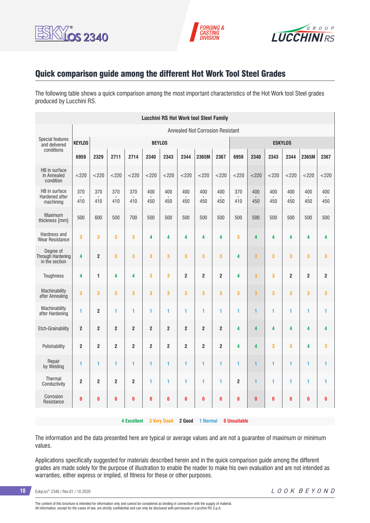





### Quick comparison guide among the different Hot Work Tool Steel Grades

The following table shows a quick comparison among the most important characteristics of the Hot Work tool Steel grades produced by Lucchini RS.

|                                                  | <b>Lucchini RS Hot Work tool Steel Family</b> |                         |                |                    |                |                         |                |                                         |                |                     |              |            |                |                |                         |  |
|--------------------------------------------------|-----------------------------------------------|-------------------------|----------------|--------------------|----------------|-------------------------|----------------|-----------------------------------------|----------------|---------------------|--------------|------------|----------------|----------------|-------------------------|--|
|                                                  |                                               |                         |                |                    |                |                         |                | <b>Annealed Not Corrosion Resistant</b> |                |                     |              |            |                |                |                         |  |
| <b>Special features</b><br>and delivered         | <b>KEYLOS</b>                                 | <b>BEYLOS</b>           |                |                    |                |                         |                |                                         |                | <b>ESKYLOS</b>      |              |            |                |                |                         |  |
| conditions                                       | 6959                                          | 2329                    | 2711           | 2714               | 2340           | 2343                    | 2344           | 2365M                                   | 2367           | 6959                | 2340         | 2343       | 2344           | 2365M          | 2367                    |  |
| HB in surface<br>In Annealed<br>condition        | $<$ 220                                       | $<$ 220                 | $<$ 220        | < 220              | $<$ 220        | $<$ 220                 | $<$ 220        | < 220                                   | $<$ 220        | < 220               | < 220        | < 220      | $<$ 220        | < 220          | $<$ 220                 |  |
| HB in surface<br>Hardened after<br>machining     | 370<br>410                                    | 370<br>410              | 370<br>410     | 370<br>410         | 400<br>450     | 400<br>450              | 400<br>450     | 400<br>450                              | 400<br>450     | 370<br>410          | 400<br>450   | 400<br>450 | 400<br>450     | 400<br>450     | 400<br>450              |  |
| Maximum<br>thickness [mm]                        | 500                                           | 600                     | 500            | 700                | 500            | 500                     | 500            | 500                                     | 500            | 500                 | 500          | 500        | 500            | 500            | 500                     |  |
| Hardness and<br><b>Wear Resistance</b>           | 3                                             | 3                       | 3              | 3                  | 4              | 4                       | 4              | 4                                       | 4              | 3                   | 4            | 4          | 4              | 4              | 4                       |  |
| Degree of<br>Through Hardening<br>in the section | 4                                             | $\overline{2}$          | 3              | 3                  | 3              | $\overline{\mathbf{3}}$ | 3              | 3                                       | 3              | 4                   | 3            | 3          | 3              | 3              | $\overline{\mathbf{3}}$ |  |
| Toughness                                        | 4                                             | 1                       | 4              | 4                  | 3              | 3                       | $\overline{2}$ | $\overline{2}$                          | $\overline{2}$ | 4                   | 3            | 3          | $\overline{2}$ | $\overline{2}$ | $\overline{2}$          |  |
| Machinability<br>after Annealing                 | 3                                             | 3                       | 3              | 3                  | 3              | 3                       | 3              | 3                                       | 3              | 3                   | 3            | 3          | 3              | 3              | $\overline{\mathbf{3}}$ |  |
| Machinability<br>after Hardening                 | 1                                             | $\overline{2}$          | 1              | 1                  | 1              | 1                       | 1              | 1                                       | 1              | 1                   | $\mathbf{1}$ | 1          | 1              | 1              | 1                       |  |
| Etch-Grainability                                | $\overline{2}$                                | $\overline{\mathbf{c}}$ | $\overline{2}$ | $\boldsymbol{2}$   | $\overline{2}$ | $\overline{\mathbf{c}}$ | $\overline{2}$ | $\overline{\mathbf{c}}$                 | $\mathbf 2$    | 4                   | 4            | 4          | 4              | 4              | 4                       |  |
| Polishability                                    | $\overline{2}$                                | $\overline{2}$          | $\overline{2}$ | $\overline{2}$     | $\overline{2}$ | $\overline{2}$          | $\overline{2}$ | $\overline{2}$                          | $\overline{2}$ | 4                   | 4            | 3          | 3              | 4              | 3                       |  |
| Repair<br>by Welding                             | 1                                             | 1                       | 1              | 1                  | 1              | 1                       | 1              | 1                                       | 1              | 1                   | 1            | 1          | 1              | 1              | 1                       |  |
| <b>Thermal</b><br>Conductivity                   | $\overline{2}$                                | $\overline{2}$          | $\overline{2}$ | $\overline{2}$     | 1              | 1                       | $\blacksquare$ | 1                                       | 1              | $\overline{2}$      | $\mathbf{1}$ | 1          | 1              | 1              | $\blacksquare$          |  |
| Corrosion<br>Resistance                          | $\bf{0}$                                      | 0                       | $\bf{0}$       | $\bf{0}$           | $\bf{0}$       | $\bf{0}$                | $\bf{0}$       | O                                       | $\bf{0}$       | 0                   | $\bf{0}$     | $\bf{0}$   | $\bf{0}$       | $\bf{0}$       | $\bf{0}$                |  |
|                                                  |                                               |                         |                | <b>4 Excellent</b> |                | <b>3 Very Good</b>      | 2 Good         | 1 Normal                                |                | <b>0 Unsuitable</b> |              |            |                |                |                         |  |

The information and the data presented here are typical or average values and are not a guarantee of maximum or minimum values.

Applications specifically suggested for materials described herein and in the quick comparison guide among the different grades are made solely for the purpose of illustration to enable the reader to make his own evaluation and are not intended as warranties, either express or implied, of fitness for these or other purposes.

**10** EskyLos® 2340 / Rev.01 / 10.2020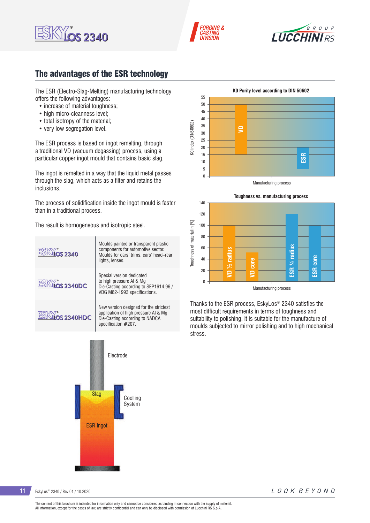





## The advantages of the ESR technology

The ESR (Electro-Slag-Melting) manufacturing technology offers the following advantages:

- increase of material toughness:
- high micro-cleanness level:
- total isotropy of the material;
- very low segregation level.

The ESR process is based on ingot remelting, through a traditional VD (vacuum degassing) process, using a particular copper ingot mould that contains basic slag.

The ingot is remelted in a way that the liquid metal passes through the slag, which acts as a filter and retains the inclusions.

The process of solidification inside the ingot mould is faster than in a traditional process.

The result is homogeneous and isotropic steel.









Thanks to the ESR process, EskyLos® 2340 satisfies the most difficult requirements in terms of toughness and suitability to polishing. It is suitable for the manufacture of moulds subjected to mirror polishing and to high mechanical stress.

**11** EskyLos® 2340 / Rev.01 / 10.2020

LOOK BEYOND

The content of this brochure is intended for information only and cannot be considered as binding in connection with the supply of material. All information, except for the cases of law, are strictly confidential and can only be disclosed with permission of Lucchini RS S.p.A.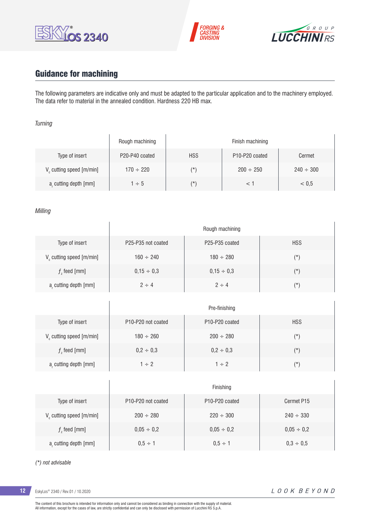





# Guidance for machining

 $\overline{1}$ 

The following parameters are indicative only and must be adapted to the particular application and to the machinery employed. The data refer to material in the annealed condition. Hardness 220 HB max.

#### *Turning*

|                                      | Rough machining | Finish machining |                                         |                |  |  |  |  |  |
|--------------------------------------|-----------------|------------------|-----------------------------------------|----------------|--|--|--|--|--|
| Type of insert                       | P20-P40 coated  | <b>HSS</b>       | P <sub>10</sub> -P <sub>20</sub> coated | Cermet         |  |  |  |  |  |
| V <sub>c</sub> cutting speed [m/min] | $170 \div 220$  | $(\star)$        | $200 \div 250$                          | $240 \div 300$ |  |  |  |  |  |
| a, cutting depth [mm]                | $1 \div 5$      | $(\star)$        |                                         | < 0.5          |  |  |  |  |  |

#### *Milling*

|                                      | Rough machining                             |                                         |            |  |  |  |
|--------------------------------------|---------------------------------------------|-----------------------------------------|------------|--|--|--|
| Type of insert                       | P <sub>25</sub> -P <sub>35</sub> not coated | P <sub>25</sub> -P <sub>35</sub> coated | <b>HSS</b> |  |  |  |
| V <sub>c</sub> cutting speed [m/min] | $160 \div 240$                              | $180 \div 280$                          | $(\star)$  |  |  |  |
| $fz$ feed [mm]                       | $0,15 \div 0,3$                             | $0.15 \div 0.3$                         | $(\star)$  |  |  |  |
| a, cutting depth [mm]                | $2 \div 4$                                  | $2 \div 4$                              | $(\star)$  |  |  |  |

|                         | Pre-finishing                               |                                         |               |  |  |  |
|-------------------------|---------------------------------------------|-----------------------------------------|---------------|--|--|--|
| Type of insert          | P <sub>10</sub> -P <sub>20</sub> not coated | P <sub>10</sub> -P <sub>20</sub> coated | <b>HSS</b>    |  |  |  |
| V cutting speed [m/min] | $180 \div 260$                              | $200 \div 280$                          | $(\texttt{'}$ |  |  |  |
| $f$ , feed [mm]         | $0,2 \div 0,3$                              | $0,2 \div 0,3$                          | $(\star)$     |  |  |  |
| a, cutting depth [mm]   | $1 \div 2$                                  | $1 \div 2$                              | $(\star)$     |  |  |  |

|                                      | Finishing                                   |                                         |                 |  |  |  |
|--------------------------------------|---------------------------------------------|-----------------------------------------|-----------------|--|--|--|
| Type of insert                       | P <sub>10</sub> -P <sub>20</sub> not coated | P <sub>10</sub> -P <sub>20</sub> coated | Cermet P15      |  |  |  |
| V <sub>c</sub> cutting speed [m/min] | $200 \div 280$                              | $220 \div 300$                          | $240 \div 330$  |  |  |  |
| $f$ , feed [mm]                      | $0,05 \div 0,2$                             | $0,05 \div 0,2$                         | $0,05 \div 0,2$ |  |  |  |
| a, cutting depth [mm]                | $0.5 \div 1$                                | $0.5 \div 1$                            | $0.3 \div 0.5$  |  |  |  |

#### *(\*) not advisable*

**12** EskyLos® 2340 / Rev.01 / 10.2020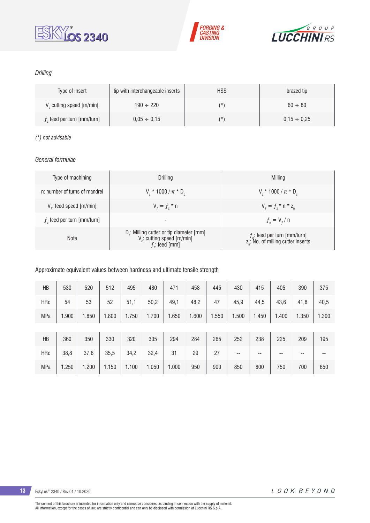





### *Drilling*

| Type of insert                       | tip with interchangeable inserts | <b>HSS</b> | brazed tip       |
|--------------------------------------|----------------------------------|------------|------------------|
| V <sub>c</sub> cutting speed [m/min] | $190 \div 220$                   | (*         | $60 \div 80$     |
| $fz$ feed per turn [mm/turn]         | $0.05 \div 0.15$                 | (*         | $0.15 \div 0.25$ |

#### *(\*) not advisable*

### *General formulae*

| Type of machining             | Drilling                                                                                                          | Milling                                                                           |
|-------------------------------|-------------------------------------------------------------------------------------------------------------------|-----------------------------------------------------------------------------------|
| n: number of turns of mandrel | $V_c * 1000 / \pi * D_c$                                                                                          | $V_r * 1000 / \pi * D_c$                                                          |
| $Vf$ : feed speed [m/min]     | $V_{f} = f_{7}$ * n                                                                                               | $V_{f} = f_{i} * n * z_{n}$                                                       |
| $fz$ feed per turn [mm/turn]  | -                                                                                                                 | $f_{n} = V_{f} / n$                                                               |
| <b>Note</b>                   | D <sub>r</sub> : Milling cutter or tip diameter [mm]<br>V <sub>c</sub> : cutting speed [m/min]<br>$f$ : feed [mm] | $f_n$ : feed per turn [mm/turn]<br>z <sub>a</sub> : No. of milling cutter inserts |

#### Approximate equivalent values between hardness and ultimate tensile strength

| HB         | 530   | 520   | 512   | 495   | 480   | 471   | 458   | 445   | 430   | 415   | 405   | 390   | 375   |
|------------|-------|-------|-------|-------|-------|-------|-------|-------|-------|-------|-------|-------|-------|
| <b>HRc</b> | 54    | 53    | 52    | 51,1  | 50,2  | 49,1  | 48,2  | 47    | 45,9  | 44,5  | 43,6  | 41,8  | 40,5  |
| <b>MPa</b> | 1.900 | 1.850 | .800  | 1.750 | 1.700 | 1.650 | 1.600 | 1.550 | 1.500 | 1.450 | 1.400 | 1.350 | 1.300 |
|            |       |       |       |       |       |       |       |       |       |       |       |       |       |
| HB         | 360   | 350   | 330   | 320   | 305   | 294   | 284   | 265   | 252   | 238   | 225   | 209   | 195   |
| <b>HRc</b> | 38,8  | 37,6  | 35,5  | 34,2  | 32,4  | 31    | 29    | 27    | $- -$ | --    | --    | $- -$ | --    |
| <b>MPa</b> | 1.250 | 1.200 | 1.150 | 1.100 | 1.050 | 1.000 | 950   | 900   | 850   | 800   | 750   | 700   | 650   |